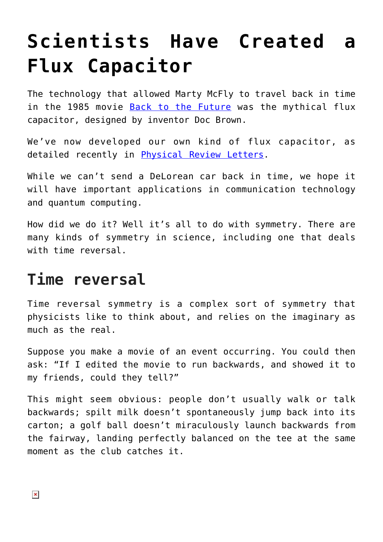## **[Scientists Have Created a](https://intellectualtakeout.org/2018/06/scientists-have-created-a-flux-capacitor/) [Flux Capacitor](https://intellectualtakeout.org/2018/06/scientists-have-created-a-flux-capacitor/)**

The technology that allowed Marty McFly to travel back in time in the 1985 movie [Back to the Future](https://www.imdb.com/title/tt0088763/) was the mythical flux capacitor, designed by inventor Doc Brown.

We've now developed our own kind of flux capacitor, as detailed recently in [Physical Review Letters](https://doi.org/10.1103/PhysRevLett.120.213602).

While we can't send a DeLorean car back in time, we hope it will have important applications in communication technology and quantum computing.

How did we do it? Well it's all to do with symmetry. There are many kinds of symmetry in science, including one that deals with time reversal.

## **Time reversal**

Time reversal symmetry is a complex sort of symmetry that physicists like to think about, and relies on the imaginary as much as the real.

Suppose you make a movie of an event occurring. You could then ask: "If I edited the movie to run backwards, and showed it to my friends, could they tell?"

This might seem obvious: people don't usually walk or talk backwards; spilt milk doesn't spontaneously jump back into its carton; a golf ball doesn't miraculously launch backwards from the fairway, landing perfectly balanced on the tee at the same moment as the club catches it.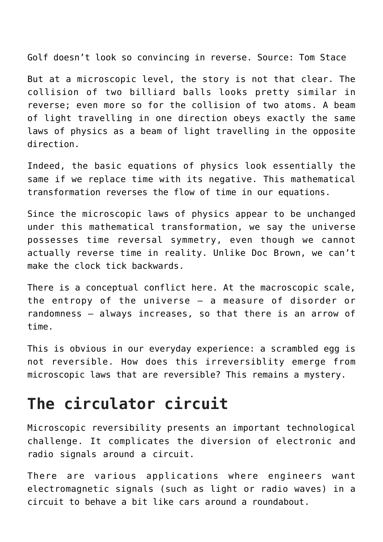Golf doesn't look so convincing in reverse. Source: Tom Stace

But at a microscopic level, the story is not that clear. The collision of two billiard balls looks pretty similar in reverse; even more so for the collision of two atoms. A beam of light travelling in one direction obeys exactly the same laws of physics as a beam of light travelling in the opposite direction.

Indeed, the basic equations of physics look essentially the same if we replace time with its negative. This mathematical transformation reverses the flow of time in our equations.

Since the microscopic laws of physics appear to be unchanged under this mathematical transformation, we say the universe possesses time reversal symmetry, even though we cannot actually reverse time in reality. Unlike Doc Brown, we can't make the clock tick backwards.

There is a conceptual conflict here. At the macroscopic scale, the entropy of the universe — a measure of disorder or randomness — always increases, so that there is an arrow of time.

This is obvious in our everyday experience: a scrambled egg is not reversible. How does this irreversiblity emerge from microscopic laws that are reversible? This remains a mystery.

## **The circulator circuit**

Microscopic reversibility presents an important technological challenge. It complicates the diversion of electronic and radio signals around a circuit.

There are various applications where engineers want electromagnetic signals (such as light or radio waves) in a circuit to behave a bit like cars around a roundabout.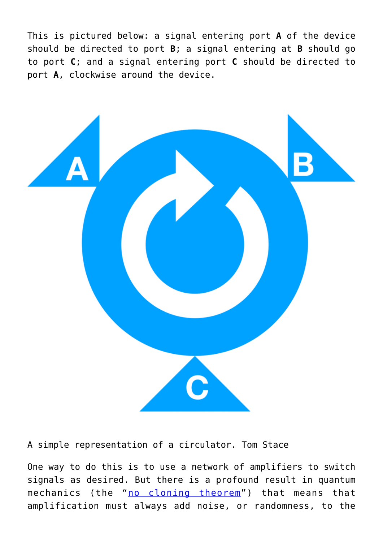This is pictured below: a signal entering port **A** of the device should be directed to port **B**; a signal entering at **B** should go to port **C**; and a signal entering port **C** should be directed to port **A**, clockwise around the device.



A simple representation of a circulator. Tom Stace

One way to do this is to use a network of amplifiers to switch signals as desired. But there is a profound result in quantum mechanics (the "[no cloning theorem"](https://www.youtube.com/watch?v=owPC60Ue0BE)) that means that amplification must always add noise, or randomness, to the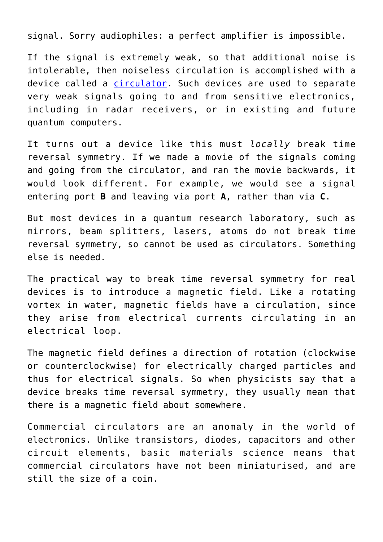signal. Sorry audiophiles: a perfect amplifier is impossible.

If the signal is extremely weak, so that additional noise is intolerable, then noiseless circulation is accomplished with a device called a [circulator.](https://www.microwaves101.com/encyclopedias/circulators) Such devices are used to separate very weak signals going to and from sensitive electronics, including in radar receivers, or in existing and future quantum computers.

It turns out a device like this must *locally* break time reversal symmetry. If we made a movie of the signals coming and going from the circulator, and ran the movie backwards, it would look different. For example, we would see a signal entering port **B** and leaving via port **A**, rather than via **C**.

But most devices in a quantum research laboratory, such as mirrors, beam splitters, lasers, atoms do not break time reversal symmetry, so cannot be used as circulators. Something else is needed.

The practical way to break time reversal symmetry for real devices is to introduce a magnetic field. Like a rotating vortex in water, magnetic fields have a circulation, since they arise from electrical currents circulating in an electrical loop.

The magnetic field defines a direction of rotation (clockwise or counterclockwise) for electrically charged particles and thus for electrical signals. So when physicists say that a device breaks time reversal symmetry, they usually mean that there is a magnetic field about somewhere.

Commercial circulators are an anomaly in the world of electronics. Unlike transistors, diodes, capacitors and other circuit elements, basic materials science means that commercial circulators have not been miniaturised, and are still the size of a coin.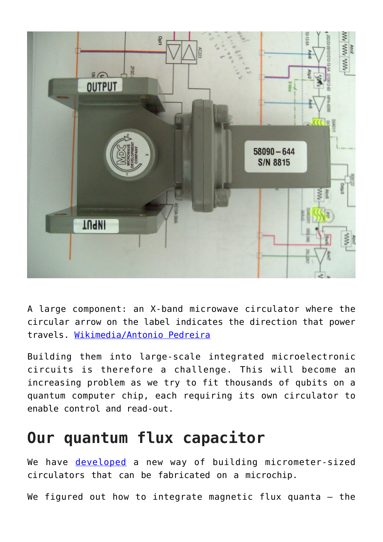

A large component: an X-band microwave circulator where the circular arrow on the label indicates the direction that power travels. [Wikimedia/Antonio Pedreira](https://en.wikipedia.org/wiki/File:AisladorG.JPG)

Building them into large-scale integrated microelectronic circuits is therefore a challenge. This will become an increasing problem as we try to fit thousands of qubits on a quantum computer chip, each requiring its own circulator to enable control and read-out.

## **Our quantum flux capacitor**

We have **[developed](https://journals.aps.org/prl/abstract/10.1103/PhysRevLett.120.213602)** a new way of building micrometer-sized circulators that can be fabricated on a microchip.

We figured out how to integrate magnetic flux quanta  $-$  the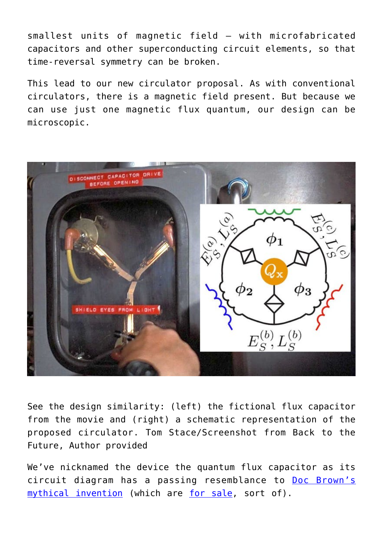smallest units of magnetic field — with microfabricated capacitors and other superconducting circuit elements, so that time-reversal symmetry can be broken.

This lead to our new circulator proposal. As with conventional circulators, there is a magnetic field present. But because we can use just one magnetic flux quantum, our design can be microscopic.



See the design similarity: (left) the fictional flux capacitor from the movie and (right) a schematic representation of the proposed circulator. Tom Stace/Screenshot from Back to the Future, Author provided

We've nicknamed the device the quantum flux capacitor as its circuit diagram has a passing resemblance to [Doc Brown's](http://backtothefuture.wikia.com/wiki/Flux_capacitor) [mythical invention](http://backtothefuture.wikia.com/wiki/Flux_capacitor) (which are [for sale](https://www.jaycar.com.au/flux-capacitor/p/OUTATIME), sort of).